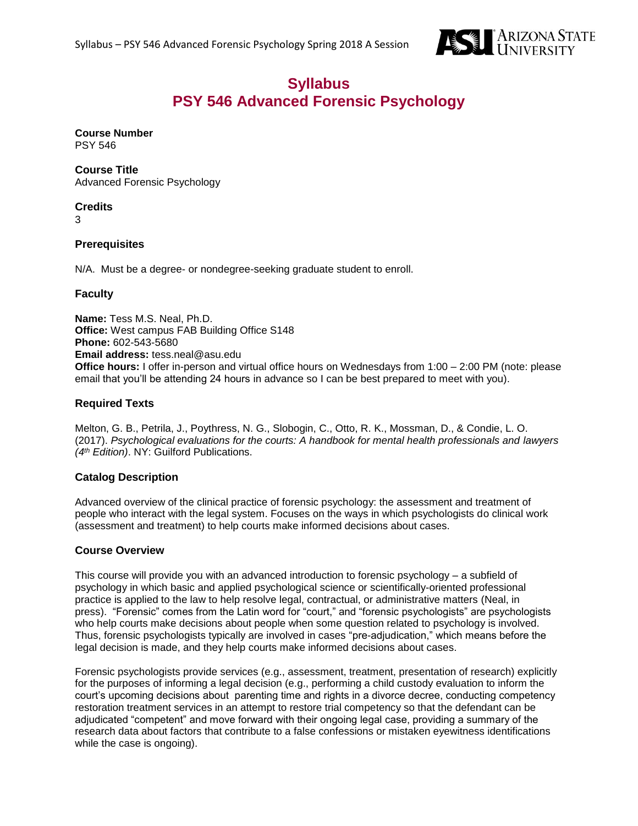

# **Syllabus PSY 546 Advanced Forensic Psychology**

# **Course Number**

PSY 546

# **Course Title**

Advanced Forensic Psychology

# **Credits**

3

# **Prerequisites**

N/A. Must be a degree- or nondegree-seeking graduate student to enroll.

# **Faculty**

**Name:** Tess M.S. Neal, Ph.D. **Office:** West campus FAB Building Office S148 **Phone:** 602-543-5680 **Email address:** tess.neal@asu.edu **Office hours:** I offer in-person and virtual office hours on Wednesdays from 1:00 – 2:00 PM (note: please email that you'll be attending 24 hours in advance so I can be best prepared to meet with you).

# **Required Texts**

Melton, G. B., Petrila, J., Poythress, N. G., Slobogin, C., Otto, R. K., Mossman, D., & Condie, L. O. (2017). *Psychological evaluations for the courts: A handbook for mental health professionals and lawyers (4th Edition)*. NY: Guilford Publications.

# **Catalog Description**

Advanced overview of the clinical practice of forensic psychology: the assessment and treatment of people who interact with the legal system. Focuses on the ways in which psychologists do clinical work (assessment and treatment) to help courts make informed decisions about cases.

# **Course Overview**

This course will provide you with an advanced introduction to forensic psychology – a subfield of psychology in which basic and applied psychological science or scientifically-oriented professional practice is applied to the law to help resolve legal, contractual, or administrative matters (Neal, in press). "Forensic" comes from the Latin word for "court," and "forensic psychologists" are psychologists who help courts make decisions about people when some question related to psychology is involved. Thus, forensic psychologists typically are involved in cases "pre-adjudication," which means before the legal decision is made, and they help courts make informed decisions about cases.

Forensic psychologists provide services (e.g., assessment, treatment, presentation of research) explicitly for the purposes of informing a legal decision (e.g., performing a child custody evaluation to inform the court's upcoming decisions about parenting time and rights in a divorce decree, conducting competency restoration treatment services in an attempt to restore trial competency so that the defendant can be adjudicated "competent" and move forward with their ongoing legal case, providing a summary of the research data about factors that contribute to a false confessions or mistaken eyewitness identifications while the case is ongoing).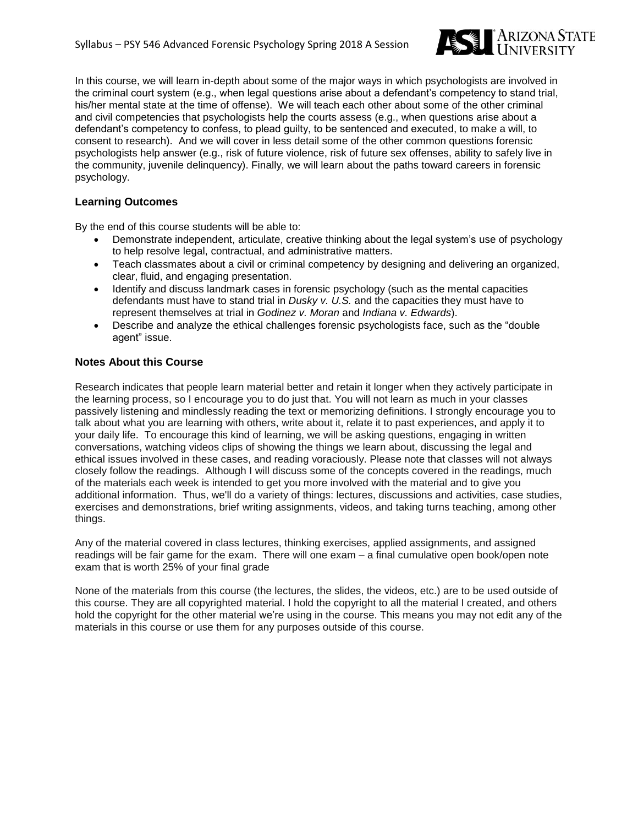

In this course, we will learn in-depth about some of the major ways in which psychologists are involved in the criminal court system (e.g., when legal questions arise about a defendant's competency to stand trial, his/her mental state at the time of offense). We will teach each other about some of the other criminal and civil competencies that psychologists help the courts assess (e.g., when questions arise about a defendant's competency to confess, to plead guilty, to be sentenced and executed, to make a will, to consent to research). And we will cover in less detail some of the other common questions forensic psychologists help answer (e.g., risk of future violence, risk of future sex offenses, ability to safely live in the community, juvenile delinquency). Finally, we will learn about the paths toward careers in forensic psychology.

# **Learning Outcomes**

By the end of this course students will be able to:

- Demonstrate independent, articulate, creative thinking about the legal system's use of psychology to help resolve legal, contractual, and administrative matters.
- Teach classmates about a civil or criminal competency by designing and delivering an organized, clear, fluid, and engaging presentation.
- Identify and discuss landmark cases in forensic psychology (such as the mental capacities defendants must have to stand trial in *Dusky v. U.S.* and the capacities they must have to represent themselves at trial in *Godinez v. Moran* and *Indiana v. Edwards*).
- Describe and analyze the ethical challenges forensic psychologists face, such as the "double agent" issue.

# **Notes About this Course**

Research indicates that people learn material better and retain it longer when they actively participate in the learning process, so I encourage you to do just that. You will not learn as much in your classes passively listening and mindlessly reading the text or memorizing definitions. I strongly encourage you to talk about what you are learning with others, write about it, relate it to past experiences, and apply it to your daily life. To encourage this kind of learning, we will be asking questions, engaging in written conversations, watching videos clips of showing the things we learn about, discussing the legal and ethical issues involved in these cases, and reading voraciously. Please note that classes will not always closely follow the readings. Although I will discuss some of the concepts covered in the readings, much of the materials each week is intended to get you more involved with the material and to give you additional information. Thus, we'll do a variety of things: lectures, discussions and activities, case studies, exercises and demonstrations, brief writing assignments, videos, and taking turns teaching, among other things.

Any of the material covered in class lectures, thinking exercises, applied assignments, and assigned readings will be fair game for the exam. There will one exam – a final cumulative open book/open note exam that is worth 25% of your final grade

None of the materials from this course (the lectures, the slides, the videos, etc.) are to be used outside of this course. They are all copyrighted material. I hold the copyright to all the material I created, and others hold the copyright for the other material we're using in the course. This means you may not edit any of the materials in this course or use them for any purposes outside of this course.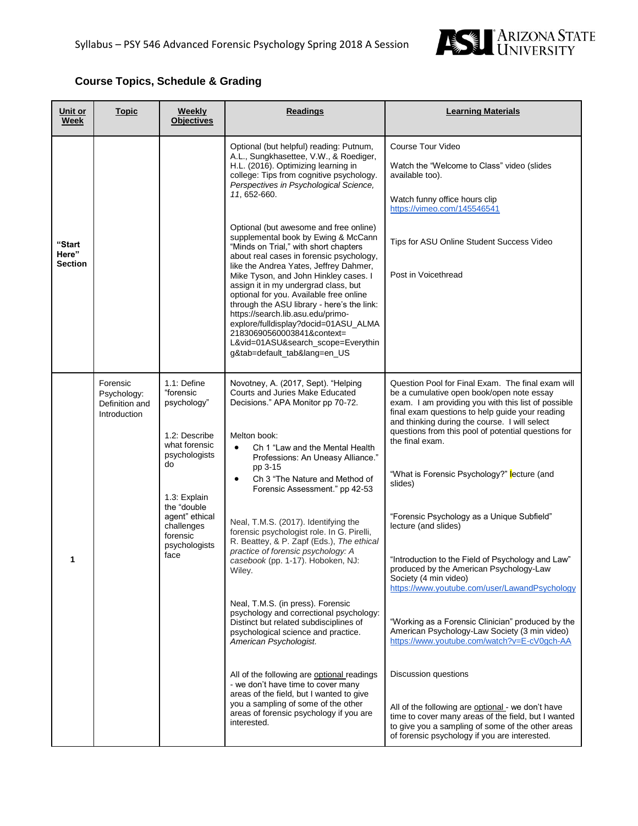

# **Course Topics, Schedule & Grading**

| Unit or<br>Week                   | <u>Topic</u>                                              | Weekly<br><b>Objectives</b>                                                                                                                                                                          | <b>Readings</b>                                                                                                                                                                                                                                                                                                                                                                                                                                                                                                                                                                                                                                                                                                                                                                                                                                                                                                                                                   | <b>Learning Materials</b>                                                                                                                                                                                                                                                                                                                                                                                                                                                                                                                                                                                                                                                                                                                                                                                                                                                                                                                                                                                                                    |
|-----------------------------------|-----------------------------------------------------------|------------------------------------------------------------------------------------------------------------------------------------------------------------------------------------------------------|-------------------------------------------------------------------------------------------------------------------------------------------------------------------------------------------------------------------------------------------------------------------------------------------------------------------------------------------------------------------------------------------------------------------------------------------------------------------------------------------------------------------------------------------------------------------------------------------------------------------------------------------------------------------------------------------------------------------------------------------------------------------------------------------------------------------------------------------------------------------------------------------------------------------------------------------------------------------|----------------------------------------------------------------------------------------------------------------------------------------------------------------------------------------------------------------------------------------------------------------------------------------------------------------------------------------------------------------------------------------------------------------------------------------------------------------------------------------------------------------------------------------------------------------------------------------------------------------------------------------------------------------------------------------------------------------------------------------------------------------------------------------------------------------------------------------------------------------------------------------------------------------------------------------------------------------------------------------------------------------------------------------------|
|                                   |                                                           |                                                                                                                                                                                                      | Optional (but helpful) reading: Putnum,<br>A.L., Sungkhasettee, V.W., & Roediger,<br>H.L. (2016). Optimizing learning in<br>college: Tips from cognitive psychology.<br>Perspectives in Psychological Science,<br>11, 652-660.                                                                                                                                                                                                                                                                                                                                                                                                                                                                                                                                                                                                                                                                                                                                    | Course Tour Video<br>Watch the "Welcome to Class" video (slides<br>available too).<br>Watch funny office hours clip<br>https://vimeo.com/145546541                                                                                                                                                                                                                                                                                                                                                                                                                                                                                                                                                                                                                                                                                                                                                                                                                                                                                           |
| "Start<br>Here"<br><b>Section</b> |                                                           |                                                                                                                                                                                                      | Optional (but awesome and free online)<br>supplemental book by Ewing & McCann<br>"Minds on Trial," with short chapters<br>about real cases in forensic psychology,<br>like the Andrea Yates, Jeffrey Dahmer,<br>Mike Tyson, and John Hinkley cases. I<br>assign it in my undergrad class, but<br>optional for you. Available free online<br>through the ASU library - here's the link:<br>https://search.lib.asu.edu/primo-<br>explore/fulldisplay?docid=01ASU_ALMA<br>21830690560003841&context=<br>L&vid=01ASU&search_scope=Everythin<br>g&tab=default_tab⟨=en_US                                                                                                                                                                                                                                                                                                                                                                                               | Tips for ASU Online Student Success Video<br>Post in Voicethread                                                                                                                                                                                                                                                                                                                                                                                                                                                                                                                                                                                                                                                                                                                                                                                                                                                                                                                                                                             |
| 1                                 | Forensic<br>Psychology:<br>Definition and<br>Introduction | 1.1: Define<br>"forensic<br>psychology"<br>1.2: Describe<br>what forensic<br>psychologists<br>do<br>1.3: Explain<br>the "double<br>agent" ethical<br>challenges<br>forensic<br>psychologists<br>face | Novotney, A. (2017, Sept). "Helping<br>Courts and Juries Make Educated<br>Decisions." APA Monitor pp 70-72.<br>Melton book:<br>Ch 1 "Law and the Mental Health"<br>$\bullet$<br>Professions: An Uneasy Alliance."<br>pp 3-15<br>Ch 3 "The Nature and Method of<br>$\bullet$<br>Forensic Assessment." pp 42-53<br>Neal, T.M.S. (2017). Identifying the<br>forensic psychologist role. In G. Pirelli,<br>R. Beattey, & P. Zapf (Eds.), The ethical<br>practice of forensic psychology: A<br>casebook (pp. 1-17). Hoboken, NJ:<br>Wiley.<br>Neal, T.M.S. (in press). Forensic<br>psychology and correctional psychology:<br>Distinct but related subdisciplines of<br>psychological science and practice.<br>American Psychologist.<br>All of the following are optional readings<br>- we don't have time to cover many<br>areas of the field, but I wanted to give<br>you a sampling of some of the other<br>areas of forensic psychology if you are<br>interested. | Question Pool for Final Exam. The final exam will<br>be a cumulative open book/open note essay<br>exam. I am providing you with this list of possible<br>final exam questions to help guide your reading<br>and thinking during the course. I will select<br>questions from this pool of potential questions for<br>the final exam.<br>"What is Forensic Psychology?" lecture (and<br>slides)<br>"Forensic Psychology as a Unique Subfield"<br>lecture (and slides)<br>"Introduction to the Field of Psychology and Law"<br>produced by the American Psychology-Law<br>Society (4 min video)<br>https://www.voutube.com/user/LawandPsychology<br>"Working as a Forensic Clinician" produced by the<br>American Psychology-Law Society (3 min video)<br>https://www.youtube.com/watch?v=E-cV0gch-AA<br>Discussion questions<br>All of the following are optional - we don't have<br>time to cover many areas of the field, but I wanted<br>to give you a sampling of some of the other areas<br>of forensic psychology if you are interested. |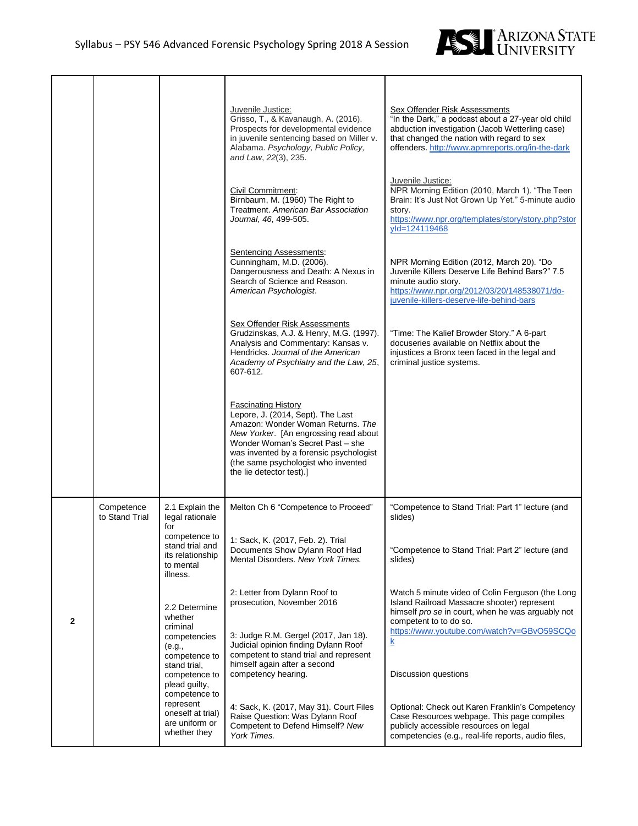

|              |                              |                                                                                            | Juvenile Justice:<br>Grisso, T., & Kavanaugh, A. (2016).<br>Prospects for developmental evidence<br>in juvenile sentencing based on Miller v.<br>Alabama. Psychology, Public Policy,<br>and Law, 22(3), 235.                                                                                    | Sex Offender Risk Assessments<br>"In the Dark," a podcast about a 27-year old child<br>abduction investigation (Jacob Wetterling case)<br>that changed the nation with regard to sex<br>offenders. http://www.apmreports.org/in-the-dark |
|--------------|------------------------------|--------------------------------------------------------------------------------------------|-------------------------------------------------------------------------------------------------------------------------------------------------------------------------------------------------------------------------------------------------------------------------------------------------|------------------------------------------------------------------------------------------------------------------------------------------------------------------------------------------------------------------------------------------|
|              |                              |                                                                                            | Civil Commitment:<br>Birnbaum, M. (1960) The Right to<br>Treatment. American Bar Association<br>Journal, 46, 499-505.                                                                                                                                                                           | Juvenile Justice:<br>NPR Morning Edition (2010, March 1). "The Teen<br>Brain: It's Just Not Grown Up Yet." 5-minute audio<br>story.<br>https://www.npr.org/templates/story/story.php?stor<br>yld=124119468                               |
|              |                              |                                                                                            | Sentencing Assessments:<br>Cunningham, M.D. (2006).<br>Dangerousness and Death: A Nexus in<br>Search of Science and Reason.<br>American Psychologist.                                                                                                                                           | NPR Morning Edition (2012, March 20). "Do<br>Juvenile Killers Deserve Life Behind Bars?" 7.5<br>minute audio story.<br>https://www.npr.org/2012/03/20/148538071/do-<br>juvenile-killers-deserve-life-behind-bars                         |
|              |                              |                                                                                            | <b>Sex Offender Risk Assessments</b><br>Grudzinskas, A.J. & Henry, M.G. (1997).<br>Analysis and Commentary: Kansas v.<br>Hendricks. Journal of the American<br>Academy of Psychiatry and the Law, 25,<br>607-612.                                                                               | "Time: The Kalief Browder Story." A 6-part<br>docuseries available on Netflix about the<br>injustices a Bronx teen faced in the legal and<br>criminal justice systems.                                                                   |
|              |                              |                                                                                            | <b>Fascinating History</b><br>Lepore, J. (2014, Sept). The Last<br>Amazon: Wonder Woman Returns. The<br>New Yorker. [An engrossing read about<br>Wonder Woman's Secret Past - she<br>was invented by a forensic psychologist<br>(the same psychologist who invented<br>the lie detector test).] |                                                                                                                                                                                                                                          |
|              | Competence<br>to Stand Trial | 2.1 Explain the<br>legal rationale<br>for                                                  | Melton Ch 6 "Competence to Proceed"                                                                                                                                                                                                                                                             | "Competence to Stand Trial: Part 1" lecture (and<br>slides)                                                                                                                                                                              |
|              |                              | competence to<br>stand trial and<br>its relationship<br>to mental<br>illness.              | 1: Sack, K. (2017, Feb. 2). Trial<br>Documents Show Dylann Roof Had<br>Mental Disorders, New York Times.                                                                                                                                                                                        | "Competence to Stand Trial: Part 2" lecture (and<br>slides)                                                                                                                                                                              |
| $\mathbf{2}$ |                              | 2.2 Determine<br>whether<br>criminal<br>competencies                                       | 2: Letter from Dylann Roof to<br>prosecution, November 2016<br>3: Judge R.M. Gergel (2017, Jan 18).                                                                                                                                                                                             | Watch 5 minute video of Colin Ferguson (the Long<br>Island Railroad Massacre shooter) represent<br>himself pro se in court, when he was arguably not<br>competent to to do so.<br>https://www.youtube.com/watch?v=GBvO59SCQo<br><u>k</u> |
|              |                              | (e.g.,<br>competence to<br>stand trial.<br>competence to<br>plead guilty,<br>competence to | Judicial opinion finding Dylann Roof<br>competent to stand trial and represent<br>himself again after a second<br>competency hearing.                                                                                                                                                           | Discussion questions                                                                                                                                                                                                                     |
|              |                              | represent<br>oneself at trial)<br>are uniform or<br>whether they                           | 4: Sack, K. (2017, May 31). Court Files<br>Raise Question: Was Dylann Roof<br>Competent to Defend Himself? New<br>York Times.                                                                                                                                                                   | Optional: Check out Karen Franklin's Competency<br>Case Resources webpage. This page compiles<br>publicly accessible resources on legal<br>competencies (e.g., real-life reports, audio files,                                           |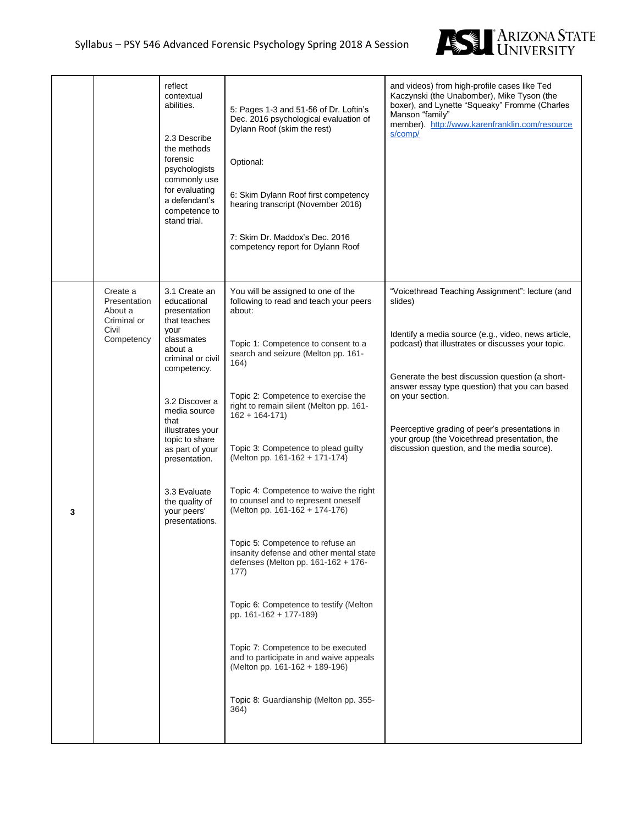

|   |                                                                           | reflect<br>contextual<br>abilities.<br>2.3 Describe<br>the methods<br>forensic<br>psychologists<br>commonly use<br>for evaluating<br>a defendant's<br>competence to<br>stand trial.                                                                                                                                      | 5: Pages 1-3 and 51-56 of Dr. Loftin's<br>Dec. 2016 psychological evaluation of<br>Dylann Roof (skim the rest)<br>Optional:<br>6: Skim Dylann Roof first competency<br>hearing transcript (November 2016)<br>7: Skim Dr. Maddox's Dec. 2016<br>competency report for Dylann Roof                                                                                                                                                                                                                                                                                                                                                                                                                                                                                                                                                                       | and videos) from high-profile cases like Ted<br>Kaczynski (the Unabomber), Mike Tyson (the<br>boxer), and Lynette "Squeaky" Fromme (Charles<br>Manson "family"<br>member). http://www.karenfranklin.com/resource<br>s/comp/                                                                                                                                                                                                                        |
|---|---------------------------------------------------------------------------|--------------------------------------------------------------------------------------------------------------------------------------------------------------------------------------------------------------------------------------------------------------------------------------------------------------------------|--------------------------------------------------------------------------------------------------------------------------------------------------------------------------------------------------------------------------------------------------------------------------------------------------------------------------------------------------------------------------------------------------------------------------------------------------------------------------------------------------------------------------------------------------------------------------------------------------------------------------------------------------------------------------------------------------------------------------------------------------------------------------------------------------------------------------------------------------------|----------------------------------------------------------------------------------------------------------------------------------------------------------------------------------------------------------------------------------------------------------------------------------------------------------------------------------------------------------------------------------------------------------------------------------------------------|
| 3 | Create a<br>Presentation<br>About a<br>Criminal or<br>Civil<br>Competency | 3.1 Create an<br>educational<br>presentation<br>that teaches<br>your<br>classmates<br>about a<br>criminal or civil<br>competency.<br>3.2 Discover a<br>media source<br>that<br>illustrates your<br>topic to share<br>as part of your<br>presentation.<br>3.3 Evaluate<br>the quality of<br>your peers'<br>presentations. | You will be assigned to one of the<br>following to read and teach your peers<br>about:<br>Topic 1: Competence to consent to a<br>search and seizure (Melton pp. 161-<br>164)<br>Topic 2: Competence to exercise the<br>right to remain silent (Melton pp. 161-<br>$162 + 164 - 171$<br>Topic 3: Competence to plead guilty<br>(Melton pp. 161-162 + 171-174)<br>Topic 4: Competence to waive the right<br>to counsel and to represent oneself<br>(Melton pp. 161-162 + 174-176)<br>Topic 5: Competence to refuse an<br>insanity defense and other mental state<br>defenses (Melton pp. 161-162 + 176-<br>177)<br>Topic 6: Competence to testify (Melton<br>pp. 161-162 + 177-189)<br>Topic 7: Competence to be executed<br>and to participate in and waive appeals<br>(Melton pp. 161-162 + 189-196)<br>Topic 8: Guardianship (Melton pp. 355-<br>364) | "Voicethread Teaching Assignment": lecture (and<br>slides)<br>Identify a media source (e.g., video, news article,<br>podcast) that illustrates or discusses your topic.<br>Generate the best discussion question (a short-<br>answer essay type question) that you can based<br>on your section.<br>Peerceptive grading of peer's presentations in<br>your group (the Voicethread presentation, the<br>discussion question, and the media source). |
|   |                                                                           |                                                                                                                                                                                                                                                                                                                          |                                                                                                                                                                                                                                                                                                                                                                                                                                                                                                                                                                                                                                                                                                                                                                                                                                                        |                                                                                                                                                                                                                                                                                                                                                                                                                                                    |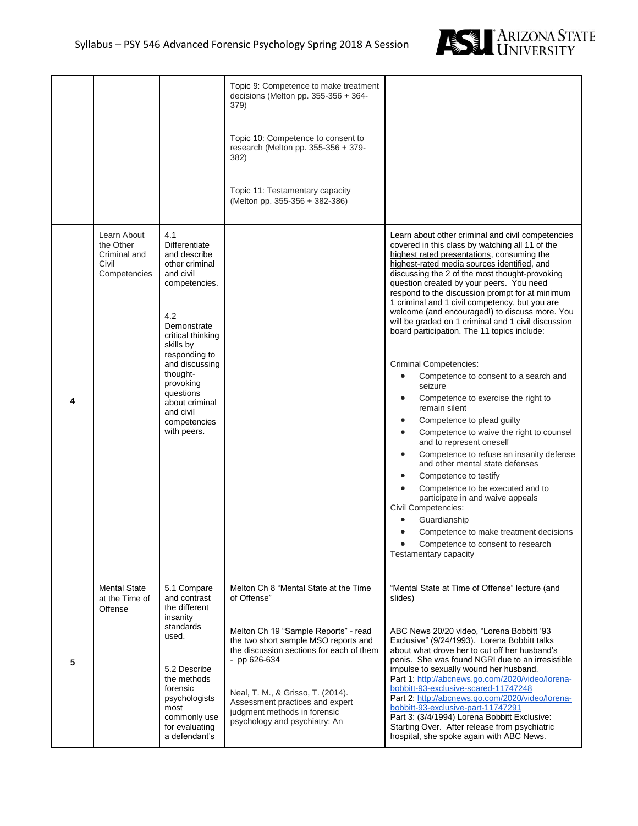

|   |                                                                   |                                                                                                                                                                                                                                                                                            | Topic 9: Competence to make treatment<br>decisions (Melton pp. 355-356 + 364-<br>379)<br>Topic 10: Competence to consent to<br>research (Melton pp. 355-356 + 379-<br>382)<br>Topic 11: Testamentary capacity<br>(Melton pp. 355-356 + 382-386)                                                                                             |                                                                                                                                                                                                                                                                                                                                                                                                                                                                                                                                                                                                                                                                                                                                                                                                                                                                                                                                                                                                                                                                                                                                                                                                         |
|---|-------------------------------------------------------------------|--------------------------------------------------------------------------------------------------------------------------------------------------------------------------------------------------------------------------------------------------------------------------------------------|---------------------------------------------------------------------------------------------------------------------------------------------------------------------------------------------------------------------------------------------------------------------------------------------------------------------------------------------|---------------------------------------------------------------------------------------------------------------------------------------------------------------------------------------------------------------------------------------------------------------------------------------------------------------------------------------------------------------------------------------------------------------------------------------------------------------------------------------------------------------------------------------------------------------------------------------------------------------------------------------------------------------------------------------------------------------------------------------------------------------------------------------------------------------------------------------------------------------------------------------------------------------------------------------------------------------------------------------------------------------------------------------------------------------------------------------------------------------------------------------------------------------------------------------------------------|
| 4 | Learn About<br>the Other<br>Criminal and<br>Civil<br>Competencies | 4.1<br><b>Differentiate</b><br>and describe<br>other criminal<br>and civil<br>competencies.<br>4.2<br>Demonstrate<br>critical thinking<br>skills by<br>responding to<br>and discussing<br>thought-<br>provoking<br>questions<br>about criminal<br>and civil<br>competencies<br>with peers. |                                                                                                                                                                                                                                                                                                                                             | Learn about other criminal and civil competencies<br>covered in this class by watching all 11 of the<br>highest rated presentations, consuming the<br>highest-rated media sources identified, and<br>discussing the 2 of the most thought-provoking<br>question created by your peers. You need<br>respond to the discussion prompt for at minimum<br>1 criminal and 1 civil competency, but you are<br>welcome (and encouraged!) to discuss more. You<br>will be graded on 1 criminal and 1 civil discussion<br>board participation. The 11 topics include:<br><b>Criminal Competencies:</b><br>Competence to consent to a search and<br>$\bullet$<br>seizure<br>Competence to exercise the right to<br>remain silent<br>Competence to plead guilty<br>٠<br>Competence to waive the right to counsel<br>$\bullet$<br>and to represent oneself<br>Competence to refuse an insanity defense<br>$\bullet$<br>and other mental state defenses<br>Competence to testify<br>$\bullet$<br>Competence to be executed and to<br>participate in and waive appeals<br>Civil Competencies:<br>Guardianship<br>Competence to make treatment decisions<br>Competence to consent to research<br>Testamentary capacity |
| 5 | <b>Mental State</b><br>at the Time of<br>Offense                  | 5.1 Compare<br>and contrast<br>the different<br>insanity<br>standards<br>used.<br>5.2 Describe<br>the methods<br>forensic<br>psychologists<br>most<br>commonly use<br>for evaluating<br>a defendant's                                                                                      | Melton Ch 8 "Mental State at the Time<br>of Offense"<br>Melton Ch 19 "Sample Reports" - read<br>the two short sample MSO reports and<br>the discussion sections for each of them<br>$-$ pp 626-634<br>Neal, T. M., & Grisso, T. (2014).<br>Assessment practices and expert<br>judgment methods in forensic<br>psychology and psychiatry: An | "Mental State at Time of Offense" lecture (and<br>slides)<br>ABC News 20/20 video, "Lorena Bobbitt '93<br>Exclusive" (9/24/1993). Lorena Bobbitt talks<br>about what drove her to cut off her husband's<br>penis. She was found NGRI due to an irresistible<br>impulse to sexually wound her husband.<br>Part 1: http://abcnews.go.com/2020/video/lorena-<br>bobbitt-93-exclusive-scared-11747248<br>Part 2: http://abcnews.go.com/2020/video/lorena-<br>bobbitt-93-exclusive-part-11747291<br>Part 3: (3/4/1994) Lorena Bobbitt Exclusive:<br>Starting Over. After release from psychiatric<br>hospital, she spoke again with ABC News.                                                                                                                                                                                                                                                                                                                                                                                                                                                                                                                                                                |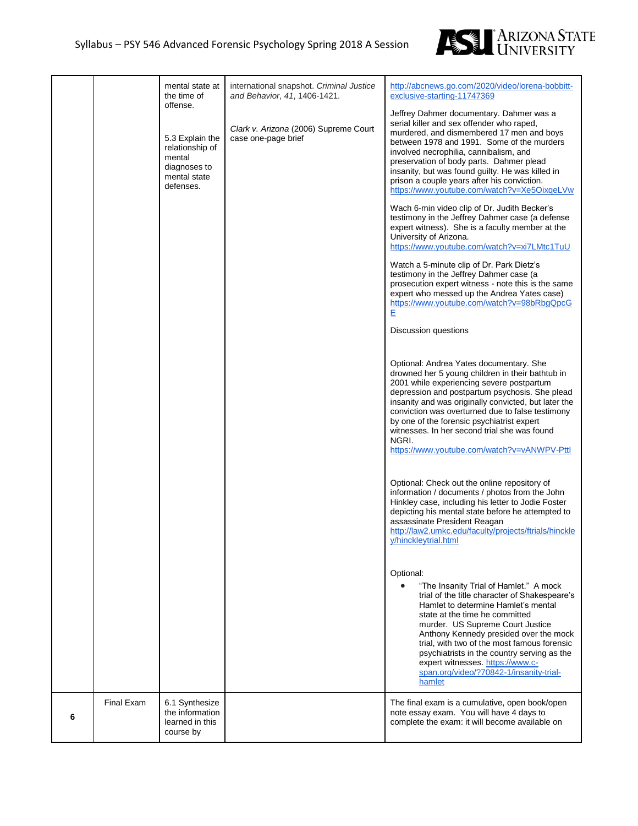

|   |            | mental state at<br>the time of<br>offense.<br>5.3 Explain the<br>relationship of<br>mental<br>diagnoses to<br>mental state<br>defenses. | international snapshot. Criminal Justice<br>and Behavior, 41, 1406-1421.<br>Clark v. Arizona (2006) Supreme Court<br>case one-page brief | http://abcnews.go.com/2020/video/lorena-bobbitt-<br>exclusive-starting-11747369<br>Jeffrey Dahmer documentary. Dahmer was a<br>serial killer and sex offender who raped,<br>murdered, and dismembered 17 men and boys<br>between 1978 and 1991. Some of the murders<br>involved necrophilia, cannibalism, and<br>preservation of body parts. Dahmer plead<br>insanity, but was found guilty. He was killed in<br>prison a couple years after his conviction.<br>https://www.youtube.com/watch?v=Xe5OixqeLVw<br>Wach 6-min video clip of Dr. Judith Becker's<br>testimony in the Jeffrey Dahmer case (a defense<br>expert witness). She is a faculty member at the<br>University of Arizona.<br>https://www.youtube.com/watch?v=xi7LMtc1TuU<br>Watch a 5-minute clip of Dr. Park Dietz's<br>testimony in the Jeffrey Dahmer case (a<br>prosecution expert witness - note this is the same<br>expert who messed up the Andrea Yates case)<br>https://www.youtube.com/watch?v=98bRbqQpcG<br>E<br>Discussion questions<br>Optional: Andrea Yates documentary. She<br>drowned her 5 young children in their bathtub in<br>2001 while experiencing severe postpartum<br>depression and postpartum psychosis. She plead<br>insanity and was originally convicted, but later the<br>conviction was overturned due to false testimony<br>by one of the forensic psychiatrist expert<br>witnesses. In her second trial she was found<br>NGRI.<br>https://www.youtube.com/watch?v=vANWPV-Pttl<br>Optional: Check out the online repository of<br>information / documents / photos from the John<br>Hinkley case, including his letter to Jodie Foster<br>depicting his mental state before he attempted to<br>assassinate President Reagan<br>http://law2.umkc.edu/faculty/projects/ftrials/hinckle<br>y/hinckleytrial.html<br>Optional:<br>"The Insanity Trial of Hamlet." A mock<br>$\bullet$<br>trial of the title character of Shakespeare's<br>Hamlet to determine Hamlet's mental<br>state at the time he committed<br>murder. US Supreme Court Justice<br>Anthony Kennedy presided over the mock<br>trial, with two of the most famous forensic<br>psychiatrists in the country serving as the<br>expert witnesses. https://www.c-<br>span.org/video/?70842-1/insanity-trial-<br>hamlet |
|---|------------|-----------------------------------------------------------------------------------------------------------------------------------------|------------------------------------------------------------------------------------------------------------------------------------------|-------------------------------------------------------------------------------------------------------------------------------------------------------------------------------------------------------------------------------------------------------------------------------------------------------------------------------------------------------------------------------------------------------------------------------------------------------------------------------------------------------------------------------------------------------------------------------------------------------------------------------------------------------------------------------------------------------------------------------------------------------------------------------------------------------------------------------------------------------------------------------------------------------------------------------------------------------------------------------------------------------------------------------------------------------------------------------------------------------------------------------------------------------------------------------------------------------------------------------------------------------------------------------------------------------------------------------------------------------------------------------------------------------------------------------------------------------------------------------------------------------------------------------------------------------------------------------------------------------------------------------------------------------------------------------------------------------------------------------------------------------------------------------------------------------------------------------------------------------------------------------------------------------------------------------------------------------------------------------------------------------------------------------------------------------------------------------------------------------------------------------------------------------------------------------------------------------------------------------------------------------------------------------------|
| 6 | Final Exam | 6.1 Synthesize<br>the information<br>learned in this<br>course by                                                                       |                                                                                                                                          | The final exam is a cumulative, open book/open<br>note essay exam. You will have 4 days to<br>complete the exam: it will become available on                                                                                                                                                                                                                                                                                                                                                                                                                                                                                                                                                                                                                                                                                                                                                                                                                                                                                                                                                                                                                                                                                                                                                                                                                                                                                                                                                                                                                                                                                                                                                                                                                                                                                                                                                                                                                                                                                                                                                                                                                                                                                                                                        |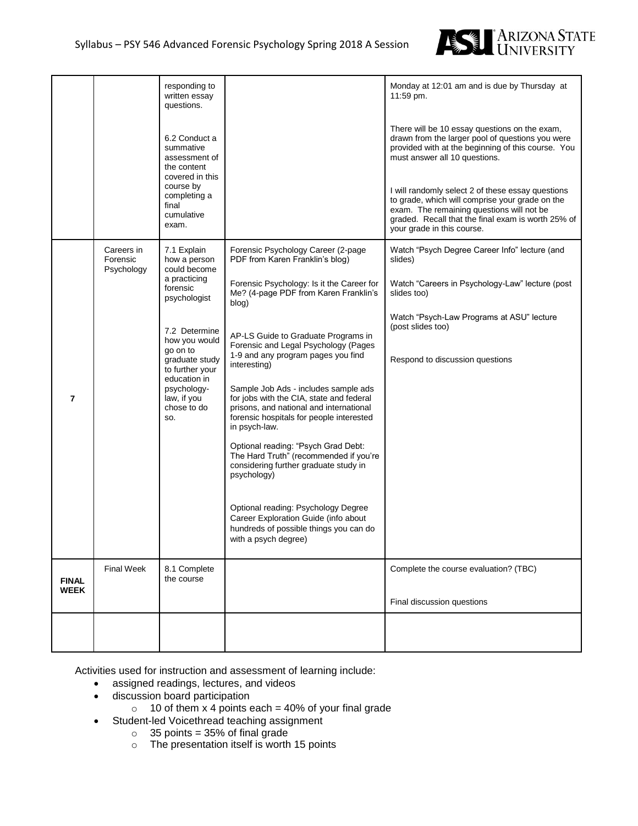

|                             |                                      | responding to<br>written essay<br>questions.<br>6.2 Conduct a<br>summative<br>assessment of<br>the content<br>covered in this<br>course by<br>completing a<br>final<br>cumulative<br>exam.                                                     |                                                                                                                                                                                                                                                                                                                                                                                                                                                                                                                                                                                                                                                                                                                                                                                                 | Monday at 12:01 am and is due by Thursday at<br>11:59 pm.<br>There will be 10 essay questions on the exam,<br>drawn from the larger pool of questions you were<br>provided with at the beginning of this course. You<br>must answer all 10 questions.<br>I will randomly select 2 of these essay questions<br>to grade, which will comprise your grade on the<br>exam. The remaining questions will not be<br>graded. Recall that the final exam is worth 25% of<br>your grade in this course. |
|-----------------------------|--------------------------------------|------------------------------------------------------------------------------------------------------------------------------------------------------------------------------------------------------------------------------------------------|-------------------------------------------------------------------------------------------------------------------------------------------------------------------------------------------------------------------------------------------------------------------------------------------------------------------------------------------------------------------------------------------------------------------------------------------------------------------------------------------------------------------------------------------------------------------------------------------------------------------------------------------------------------------------------------------------------------------------------------------------------------------------------------------------|------------------------------------------------------------------------------------------------------------------------------------------------------------------------------------------------------------------------------------------------------------------------------------------------------------------------------------------------------------------------------------------------------------------------------------------------------------------------------------------------|
| $\overline{7}$              | Careers in<br>Forensic<br>Psychology | 7.1 Explain<br>how a person<br>could become<br>a practicing<br>forensic<br>psychologist<br>7.2 Determine<br>how you would<br>go on to<br>graduate study<br>to further your<br>education in<br>psychology-<br>law, if you<br>chose to do<br>SO. | Forensic Psychology Career (2-page<br>PDF from Karen Franklin's blog)<br>Forensic Psychology: Is it the Career for<br>Me? (4-page PDF from Karen Franklin's<br>blog)<br>AP-LS Guide to Graduate Programs in<br>Forensic and Legal Psychology (Pages<br>1-9 and any program pages you find<br>interesting)<br>Sample Job Ads - includes sample ads<br>for jobs with the CIA, state and federal<br>prisons, and national and international<br>forensic hospitals for people interested<br>in psych-law.<br>Optional reading: "Psych Grad Debt:<br>The Hard Truth" (recommended if you're<br>considering further graduate study in<br>psychology)<br>Optional reading: Psychology Degree<br>Career Exploration Guide (info about<br>hundreds of possible things you can do<br>with a psych degree) | Watch "Psych Degree Career Info" lecture (and<br>slides)<br>Watch "Careers in Psychology-Law" lecture (post<br>slides too)<br>Watch "Psych-Law Programs at ASU" lecture<br>(post slides too)<br>Respond to discussion questions                                                                                                                                                                                                                                                                |
| <b>FINAL</b><br><b>WEEK</b> | <b>Final Week</b>                    | 8.1 Complete<br>the course                                                                                                                                                                                                                     |                                                                                                                                                                                                                                                                                                                                                                                                                                                                                                                                                                                                                                                                                                                                                                                                 | Complete the course evaluation? (TBC)<br>Final discussion questions                                                                                                                                                                                                                                                                                                                                                                                                                            |
|                             |                                      |                                                                                                                                                                                                                                                |                                                                                                                                                                                                                                                                                                                                                                                                                                                                                                                                                                                                                                                                                                                                                                                                 |                                                                                                                                                                                                                                                                                                                                                                                                                                                                                                |

Activities used for instruction and assessment of learning include:

- assigned readings, lectures, and videos
- discussion board participation
	- $\circ$  10 of them x 4 points each = 40% of your final grade
- Student-led Voicethread teaching assignment
	- $\circ$  35 points = 35% of final grade
		- o The presentation itself is worth 15 points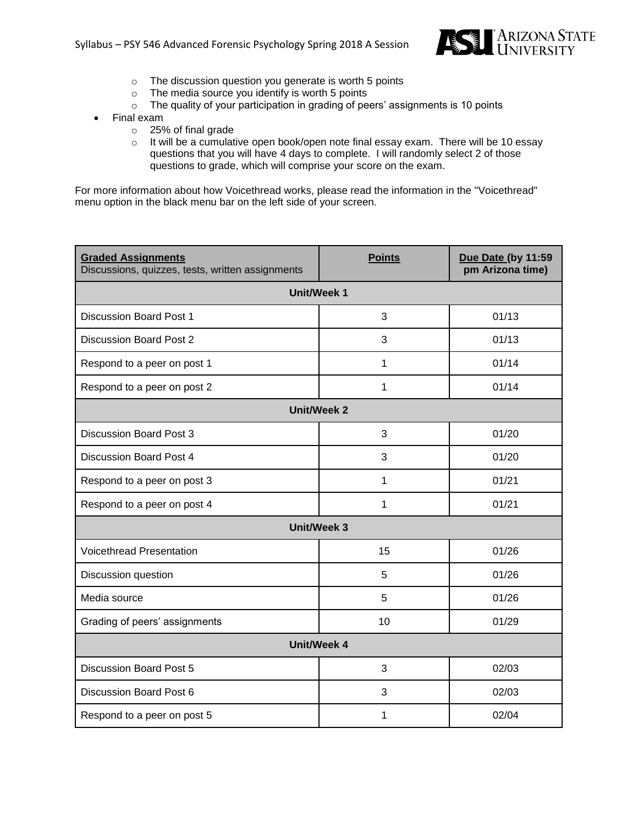

- o The discussion question you generate is worth 5 points
- $\circ$  The media source you identify is worth 5 points
- o The quality of your participation in grading of peers' assignments is 10 points
- Final exam
	- o 25% of final grade
	- o It will be a cumulative open book/open note final essay exam. There will be 10 essay questions that you will have 4 days to complete. I will randomly select 2 of those questions to grade, which will comprise your score on the exam.

For more information about how Voicethread works, please read the information in the "Voicethread" menu option in the black menu bar on the left side of your screen.

| <b>Graded Assignments</b><br>Discussions, quizzes, tests, written assignments | <b>Points</b>      | Due Date (by 11:59<br>pm Arizona time) |  |  |  |  |
|-------------------------------------------------------------------------------|--------------------|----------------------------------------|--|--|--|--|
|                                                                               | <b>Unit/Week 1</b> |                                        |  |  |  |  |
| <b>Discussion Board Post 1</b>                                                | 3                  | 01/13                                  |  |  |  |  |
| Discussion Board Post 2                                                       | 3                  | 01/13                                  |  |  |  |  |
| Respond to a peer on post 1                                                   | 1                  | 01/14                                  |  |  |  |  |
| Respond to a peer on post 2                                                   | 1                  | 01/14                                  |  |  |  |  |
|                                                                               | <b>Unit/Week 2</b> |                                        |  |  |  |  |
| <b>Discussion Board Post 3</b>                                                | 3                  | 01/20                                  |  |  |  |  |
| <b>Discussion Board Post 4</b>                                                | 3                  | 01/20                                  |  |  |  |  |
| Respond to a peer on post 3                                                   | 1                  | 01/21                                  |  |  |  |  |
| Respond to a peer on post 4                                                   | 1                  | 01/21                                  |  |  |  |  |
| <b>Unit/Week 3</b>                                                            |                    |                                        |  |  |  |  |
| <b>Voicethread Presentation</b>                                               | 15                 | 01/26                                  |  |  |  |  |
| Discussion question                                                           | 5                  | 01/26                                  |  |  |  |  |
| Media source                                                                  | 5                  | 01/26                                  |  |  |  |  |
| Grading of peers' assignments                                                 | 10                 | 01/29                                  |  |  |  |  |
| <b>Unit/Week 4</b>                                                            |                    |                                        |  |  |  |  |
| <b>Discussion Board Post 5</b>                                                | 3                  | 02/03                                  |  |  |  |  |
| Discussion Board Post 6                                                       | 3                  | 02/03                                  |  |  |  |  |
| Respond to a peer on post 5                                                   | 1                  | 02/04                                  |  |  |  |  |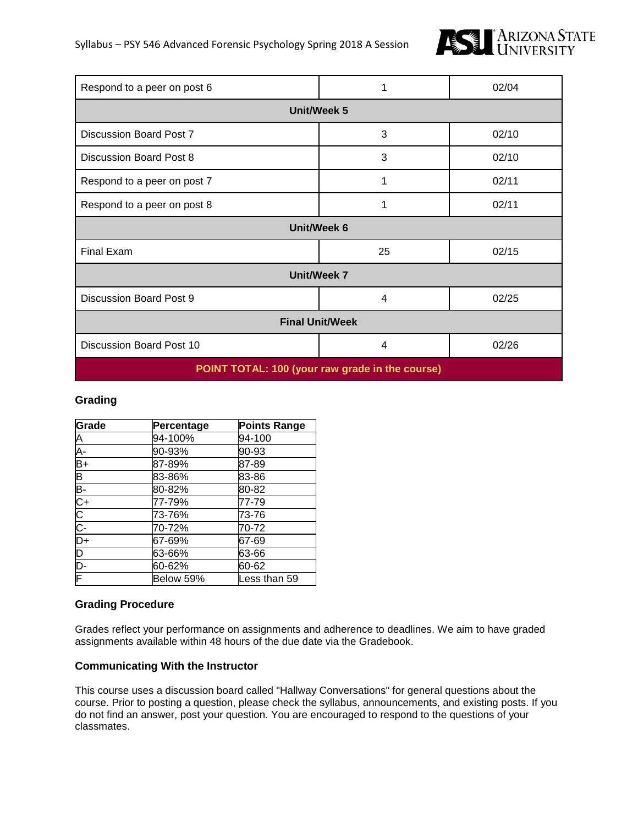

| Respond to a peer on post 6                     | 1                  | 02/04 |  |  |  |
|-------------------------------------------------|--------------------|-------|--|--|--|
|                                                 | <b>Unit/Week 5</b> |       |  |  |  |
| Discussion Board Post 7                         | 3                  | 02/10 |  |  |  |
| Discussion Board Post 8                         | 3                  | 02/10 |  |  |  |
| Respond to a peer on post 7                     | 1                  | 02/11 |  |  |  |
| Respond to a peer on post 8                     | 1                  | 02/11 |  |  |  |
| Unit/Week 6                                     |                    |       |  |  |  |
| Final Exam                                      | 25                 | 02/15 |  |  |  |
| <b>Unit/Week 7</b>                              |                    |       |  |  |  |
| Discussion Board Post 9                         | 4                  | 02/25 |  |  |  |
| <b>Final Unit/Week</b>                          |                    |       |  |  |  |
| Discussion Board Post 10<br>4<br>02/26          |                    |       |  |  |  |
| POINT TOTAL: 100 (your raw grade in the course) |                    |       |  |  |  |

# **Grading**

| Grade          | Percentage | <b>Points Range</b> |
|----------------|------------|---------------------|
|                | 94-100%    | 94-100              |
| A<br>A-<br>B+  | 90-93%     | 90-93               |
|                | 87-89%     | 87-89               |
| B              | 83-86%     | 83-86               |
|                | 80-82%     | 80-82               |
|                | 77-79%     | 77-79               |
|                | 73-76%     | 73-76               |
| 모이오노           | 70-72%     | 70-72               |
|                | 67-69%     | 67-69               |
| $\overline{D}$ | 63-66%     | 63-66               |
| D-             | 60-62%     | 60-62               |
| F              | Below 59%  | Less than 59        |

# **Grading Procedure**

Grades reflect your performance on assignments and adherence to deadlines. We aim to have graded assignments available within 48 hours of the due date via the Gradebook.

#### **Communicating With the Instructor**

This course uses a discussion board called "Hallway Conversations" for general questions about the course. Prior to posting a question, please check the syllabus, announcements, and existing posts. If you do not find an answer, post your question. You are encouraged to respond to the questions of your classmates.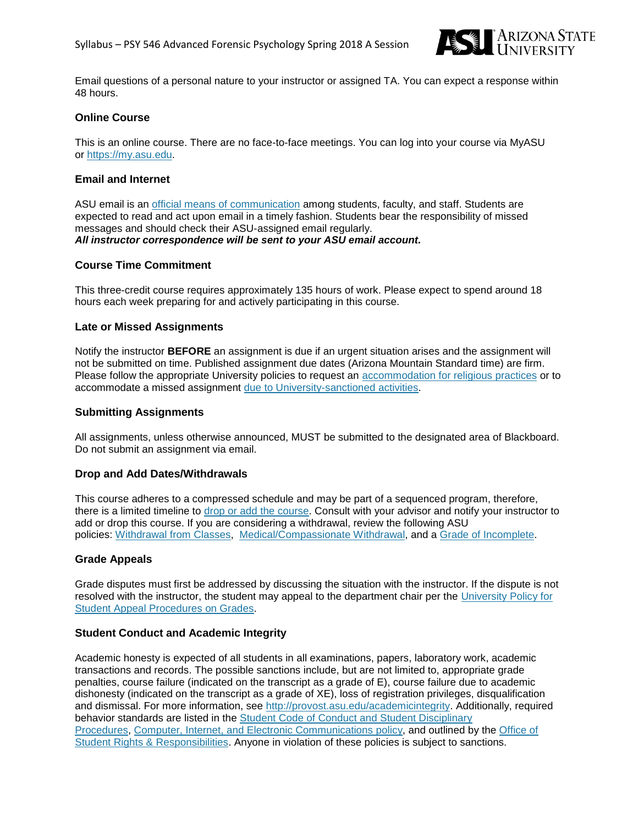

Email questions of a personal nature to your instructor or assigned TA. You can expect a response within 48 hours.

### **Online Course**

This is an online course. There are no face-to-face meetings. You can log into your course via MyASU or [https://my.asu.edu.](http://ecollege.asu.edu/)

#### **Email and Internet**

ASU email is an official means of [communication](http://www.asu.edu/aad/manuals/ssm/ssm107-03.html) among students, faculty, and staff. Students are expected to read and act upon email in a timely fashion. Students bear the responsibility of missed messages and should check their ASU-assigned email regularly. *All instructor correspondence will be sent to your ASU email account.*

#### **Course Time Commitment**

This three-credit course requires approximately 135 hours of work. Please expect to spend around 18 hours each week preparing for and actively participating in this course.

#### **Late or Missed Assignments**

Notify the instructor **BEFORE** an assignment is due if an urgent situation arises and the assignment will not be submitted on time. Published assignment due dates (Arizona Mountain Standard time) are firm. Please follow the appropriate University policies to request an [accommodation](http://www.asu.edu/aad/manuals/acd/acd304-04.html) for religious practices or to accommodate a missed assignment due to [University-sanctioned](http://www.asu.edu/aad/manuals/acd/acd304-02.html) activities.

#### **Submitting Assignments**

All assignments, unless otherwise announced, MUST be submitted to the designated area of Blackboard. Do not submit an assignment via email.

#### **Drop and Add Dates/Withdrawals**

This course adheres to a compressed schedule and may be part of a sequenced program, therefore, there is a limited timeline to drop or add the [course.](https://students.asu.edu/academic-calendar) Consult with your advisor and notify your instructor to add or drop this course. If you are considering a withdrawal, review the following ASU policies: [Withdrawal](http://www.asu.edu/aad/manuals/ssm/ssm201-08.html) from Classes, [Medical/Compassionate](http://www.asu.edu/aad/manuals/ssm/ssm201-09.html) Withdrawal, and a Grade of [Incomplete.](http://www.asu.edu/aad/manuals/ssm/ssm203-09.html)

# **Grade Appeals**

Grade disputes must first be addressed by discussing the situation with the instructor. If the dispute is not resolved with the instructor, the student may appeal to the department chair per the [University](https://catalog.asu.edu/appeal) Policy for Student Appeal [Procedures](https://catalog.asu.edu/appeal) on Grades.

#### **Student Conduct and Academic Integrity**

Academic honesty is expected of all students in all examinations, papers, laboratory work, academic transactions and records. The possible sanctions include, but are not limited to, appropriate grade penalties, course failure (indicated on the transcript as a grade of E), course failure due to academic dishonesty (indicated on the transcript as a grade of XE), loss of registration privileges, disqualification and dismissal. For more information, see [http://provost.asu.edu/academicintegrity.](http://provost.asu.edu/academicintegrity) Additionally, required behavior standards are listed in the Student Code of Conduct and Student [Disciplinary](http://www.asu.edu/aad/manuals/ssm/ssm104-01.html) [Procedures,](http://www.asu.edu/aad/manuals/ssm/ssm104-01.html) Computer, Internet, and Electronic [Communications](http://www.asu.edu/aad/manuals/acd/acd125.html) policy, and outlined by the [Office](https://students.asu.edu/srr) of Student Rights & [Responsibilities.](https://students.asu.edu/srr) Anyone in violation of these policies is subject to sanctions.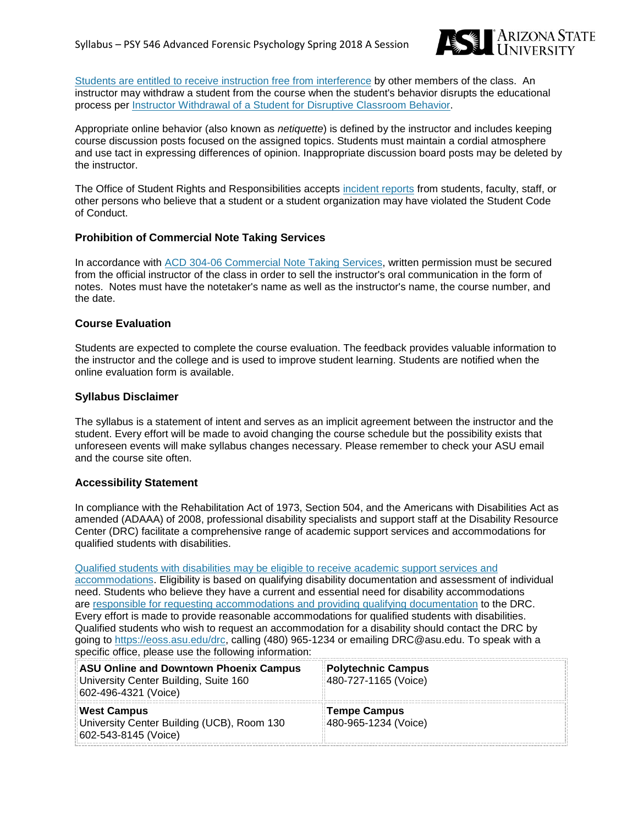

Students are entitled to receive instruction free from [interference](http://www.asu.edu/aad/manuals/ssm/ssm104-02.html) by other members of the class. An instructor may withdraw a student from the course when the student's behavior disrupts the educational process per Instructor [Withdrawal](http://www.asu.edu/aad/manuals/usi/usi201-10.html) of a Student for Disruptive Classroom Behavior.

Appropriate online behavior (also known as *netiquette*) is defined by the instructor and includes keeping course discussion posts focused on the assigned topics. Students must maintain a cordial atmosphere and use tact in expressing differences of opinion. Inappropriate discussion board posts may be deleted by the instructor.

The Office of Student Rights and Responsibilities accepts [incident](https://students.asu.edu/srr/report) reports from students, faculty, staff, or other persons who believe that a student or a student organization may have violated the Student Code of Conduct.

# **Prohibition of Commercial Note Taking Services**

In accordance with ACD 304-06 [Commercial](http://www.asu.edu/aad/manuals/acd/acd304-06.html) Note Taking Services, written permission must be secured from the official instructor of the class in order to sell the instructor's oral communication in the form of notes. Notes must have the notetaker's name as well as the instructor's name, the course number, and the date.

#### **Course Evaluation**

Students are expected to complete the course evaluation. The feedback provides valuable information to the instructor and the college and is used to improve student learning. Students are notified when the online evaluation form is available.

#### **Syllabus Disclaimer**

The syllabus is a statement of intent and serves as an implicit agreement between the instructor and the student. Every effort will be made to avoid changing the course schedule but the possibility exists that unforeseen events will make syllabus changes necessary. Please remember to check your ASU email and the course site often.

#### **Accessibility Statement**

In compliance with the Rehabilitation Act of 1973, Section 504, and the Americans with Disabilities Act as amended (ADAAA) of 2008, professional disability specialists and support staff at the Disability Resource Center (DRC) facilitate a comprehensive range of academic support services and accommodations for qualified students with disabilities.

Qualified students with [disabilities](http://www.asu.edu/aad/manuals/ssm/ssm701-01.html) may be eligible to receive academic support services and [accommodations.](http://www.asu.edu/aad/manuals/ssm/ssm701-01.html) Eligibility is based on qualifying disability documentation and assessment of individual need. Students who believe they have a current and essential need for disability accommodations are responsible for requesting [accommodations](http://www.asu.edu/aad/manuals/ssm/ssm701-02.html) and providing qualifying documentation to the DRC. Every effort is made to provide reasonable accommodations for qualified students with disabilities. Qualified students who wish to request an accommodation for a disability should contact the DRC by going to [https://eoss.asu.edu/drc,](https://eoss.asu.edu/drc) calling (480) 965-1234 or emailing DRC@asu.edu. To speak with a specific office, please use the following information:

| <b>ASU Online and Downtown Phoenix Campus</b><br>University Center Building, Suite 160<br>602-496-4321 (Voice) | Polytechnic Campus<br>480-727-1165 (Voice) |
|----------------------------------------------------------------------------------------------------------------|--------------------------------------------|
| <b>West Campus</b><br>University Center Building (UCB), Room 130<br>602-543-8145 (Voice)                       | Tempe Campus<br>480-965-1234 (Voice)       |